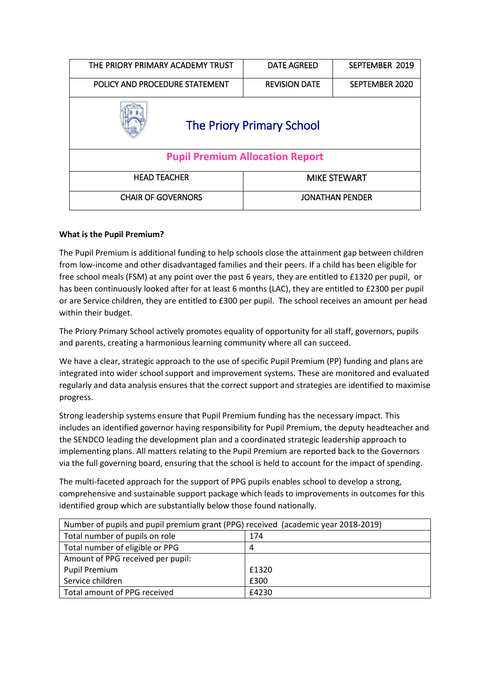| THE PRIORY PRIMARY ACADEMY TRUST       | <b>DATE AGREED</b>     | SEPTEMBER 2019 |  |  |
|----------------------------------------|------------------------|----------------|--|--|
| POLICY AND PROCEDURE STATEMENT         | <b>REVISION DATE</b>   | SEPTEMBER 2020 |  |  |
| <b>The Priory Primary School</b>       |                        |                |  |  |
| <b>Pupil Premium Allocation Report</b> |                        |                |  |  |
| <b>HEAD TEACHER</b>                    | <b>MIKE STEWART</b>    |                |  |  |
| <b>CHAIR OF GOVERNORS</b>              | <b>JONATHAN PENDER</b> |                |  |  |

# **What is the Pupil Premium?**

The Pupil Premium is additional funding to help schools close the attainment gap between children from low-income and other disadvantaged families and their peers. If a child has been eligible for free school meals (FSM) at any point over the past 6 years, they are entitled to £1320 per pupil, or has been continuously looked after for at least 6 months (LAC), they are entitled to £2300 per pupil or are Service children, they are entitled to £300 per pupil. The school receives an amount per head within their budget.

The Priory Primary School actively promotes equality of opportunity for all staff, governors, pupils and parents, creating a harmonious learning community where all can succeed.

We have a clear, strategic approach to the use of specific Pupil Premium (PP) funding and plans are integrated into wider school support and improvement systems. These are monitored and evaluated regularly and data analysis ensures that the correct support and strategies are identified to maximise progress.

Strong leadership systems ensure that Pupil Premium funding has the necessary impact. This includes an identified governor having responsibility for Pupil Premium, the deputy headteacher and the SENDCO leading the development plan and a coordinated strategic leadership approach to implementing plans. All matters relating to the Pupil Premium are reported back to the Governors via the full governing board, ensuring that the school is held to account for the impact of spending.

The multi-faceted approach for the support of PPG pupils enables school to develop a strong, comprehensive and sustainable support package which leads to improvements in outcomes for this identified group which are substantially below those found nationally.

| Number of pupils and pupil premium grant (PPG) received (academic year 2018-2019) |       |  |  |
|-----------------------------------------------------------------------------------|-------|--|--|
| Total number of pupils on role                                                    | 174   |  |  |
| Total number of eligible or PPG                                                   | 4     |  |  |
| Amount of PPG received per pupil:                                                 |       |  |  |
| <b>Pupil Premium</b>                                                              | £1320 |  |  |
| Service children                                                                  | £300  |  |  |
| Total amount of PPG received                                                      | £4230 |  |  |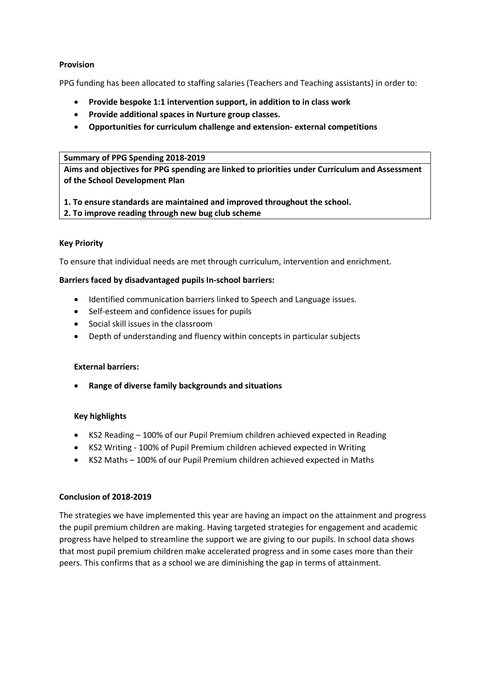## **Provision**

PPG funding has been allocated to staffing salaries (Teachers and Teaching assistants) in order to:

- **Provide bespoke 1:1 intervention support, in addition to in class work**
- **Provide additional spaces in Nurture group classes.**
- **Opportunities for curriculum challenge and extension- external competitions**

#### **Summary of PPG Spending 2018-2019**

**Aims and objectives for PPG spending are linked to priorities under Curriculum and Assessment of the School Development Plan** 

**1. To ensure standards are maintained and improved throughout the school.** 

#### **2. To improve reading through new bug club scheme**

## **Key Priority**

To ensure that individual needs are met through curriculum, intervention and enrichment.

### **Barriers faced by disadvantaged pupils In-school barriers:**

- Identified communication barriers linked to Speech and Language issues.
- Self-esteem and confidence issues for pupils
- Social skill issues in the classroom
- Depth of understanding and fluency within concepts in particular subjects

### **External barriers:**

**Range of diverse family backgrounds and situations** 

### **Key highlights**

- KS2 Reading 100% of our Pupil Premium children achieved expected in Reading
- KS2 Writing 100% of Pupil Premium children achieved expected in Writing
- KS2 Maths 100% of our Pupil Premium children achieved expected in Maths

### **Conclusion of 2018-2019**

The strategies we have implemented this year are having an impact on the attainment and progress the pupil premium children are making. Having targeted strategies for engagement and academic progress have helped to streamline the support we are giving to our pupils. In school data shows that most pupil premium children make accelerated progress and in some cases more than their peers. This confirms that as a school we are diminishing the gap in terms of attainment.